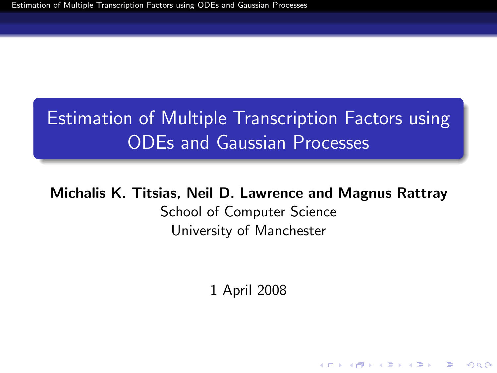# Estimation of Multiple Transcription Factors using ODEs and Gaussian Processes

#### <span id="page-0-0"></span>Michalis K. Titsias, Neil D. Lawrence and Magnus Rattray

School of Computer Science University of Manchester

1 April 2008

**ADD YEARS ARA YOUR**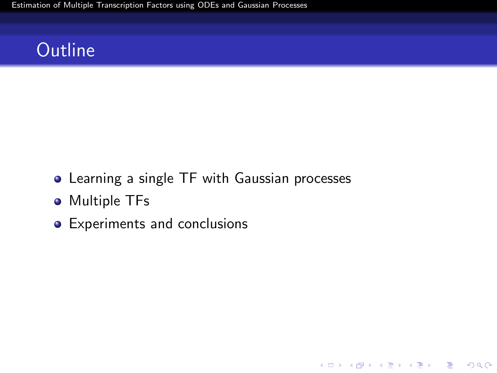[Estimation of Multiple Transcription Factors using ODEs and Gaussian Processes](#page-0-0)

## **Outline**

Learning a single TF with Gaussian processes

K ロ ▶ K @ ▶ K 할 ▶ K 할 ▶ 이 할 → 9 Q Q →

- **•** Multiple TFs
- Experiments and conclusions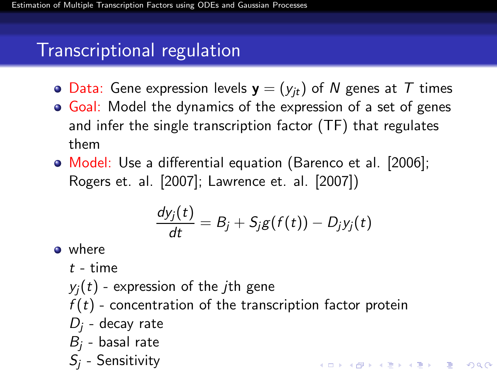## Transcriptional regulation

- Data: Gene expression levels  $y = (y_{it})$  of N genes at T times
- Goal: Model the dynamics of the expression of a set of genes and infer the single transcription factor (TF) that regulates them
- Model: Use a differential equation (Barenco et al. [2006]; Rogers et. al. [2007]; Lawrence et. al. [2007])

$$
\frac{dy_j(t)}{dt}=B_j+S_jg(f(t))-D_jy_j(t)
$$

o where

 $t - time$ 

- $y_i(t)$  expression of the *j*th gene  $f(t)$  - concentration of the transcription factor protein  $D_i$  - decay rate  $B_i$  - basal rate
- $S_i$  Sensitivity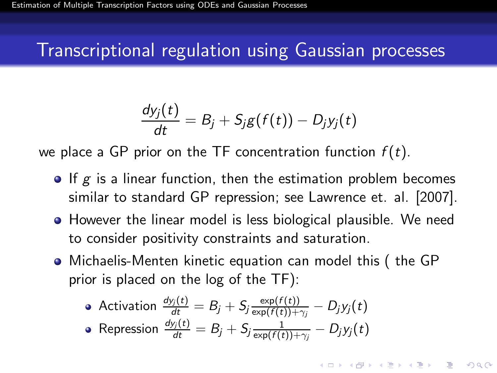## Transcriptional regulation using Gaussian processes

$$
\frac{dy_j(t)}{dt} = B_j + S_j g(f(t)) - D_j y_j(t)
$$

we place a GP prior on the TF concentration function  $f(t)$ .

- $\bullet$  If g is a linear function, then the estimation problem becomes similar to standard GP repression; see Lawrence et. al. [2007].
- **•** However the linear model is less biological plausible. We need to consider positivity constraints and saturation.
- Michaelis-Menten kinetic equation can model this ( the GP prior is placed on the log of the TF):

**A O A G A 4 O A G A G A 4 O A 4 O A 4 O A 4 O A 4 O A 4 O A 4 O A 4 O A 4 O A 4 O A 4 O A 4 O A** 

• Activation 
$$
\frac{dy_j(t)}{dt} = B_j + S_j \frac{\exp(f(t))}{\exp(f(t)) + \gamma_j} - D_j y_j(t)
$$

• Representation 
$$
\frac{dy_j(t)}{dt} = B_j + S_j \frac{1}{\exp(f(t)) + \gamma_j} - D_j y_j(t)
$$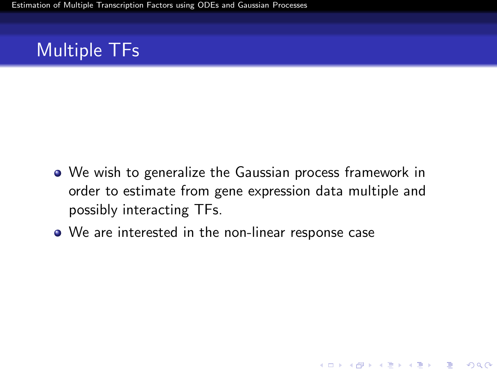## Multiple TFs

We wish to generalize the Gaussian process framework in order to estimate from gene expression data multiple and possibly interacting TFs.

**KORK EXTERNE PROVIDE** 

We are interested in the non-linear response case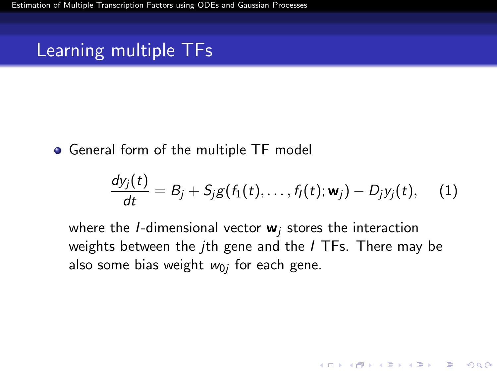## Learning multiple TFs

• General form of the multiple TF model

$$
\frac{dy_j(t)}{dt}=B_j+S_jg(f_1(t),\ldots,f_l(t);{\bf w}_j)-D_jy_j(t),\quad (1)
$$

**ADD YEARS ARA YOUR** 

where the *I*-dimensional vector  $w_i$  stores the interaction weights between the *i*th gene and the *I* TFs. There may be also some bias weight  $w_{0j}$  for each gene.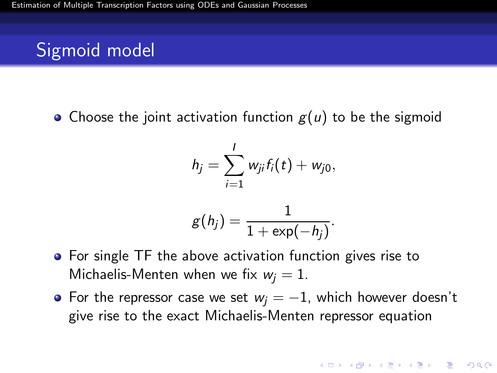## Sigmoid model

• Choose the joint activation function  $g(u)$  to be the sigmoid

$$
h_j=\sum_{i=1}^I w_{ji}f_i(t)+w_{j0},
$$

$$
g(h_j)=\frac{1}{1+\exp(-h_j)}.
$$

- For single TF the above activation function gives rise to Michaelis-Menten when we fix  $w_i = 1$ .
- For the repressor case we set  $w_i = -1$ , which however doesn't give rise to the exact Michaelis-Menten repressor equation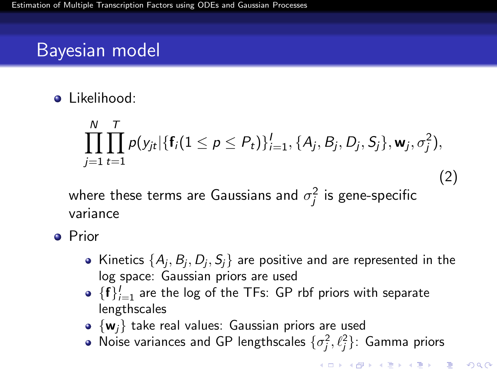## Bayesian model

**o** Likelihood:

$$
\prod_{j=1}^N\prod_{t=1}^T p(y_{jt}|\{\mathbf{f}_i(1\leq p\leq P_t)\}_{i=1}^I, \{A_j, B_j, D_j, S_j\}, \mathbf{w}_j, \sigma_j^2),
$$

(2)

**ADD YEARS ARA YOUR** 

where these terms are Gaussians and  $\sigma_j^2$  is gene-specific variance

- **•** Prior
	- Kinetics  $\{A_j,B_j,D_j,S_j\}$  are positive and are represented in the log space: Gaussian priors are used
	- $\{\mathbf{f}\}_{i=1}^I$  are the log of the TFs: GP rbf priors with separate lengthscales
	- $\bullet$  {w<sub>i</sub>} take real values: Gaussian priors are used
	- Noise variances and GP lengthscales  $\{\sigma_j^2,\ell_j^2\}$ : Gamma priors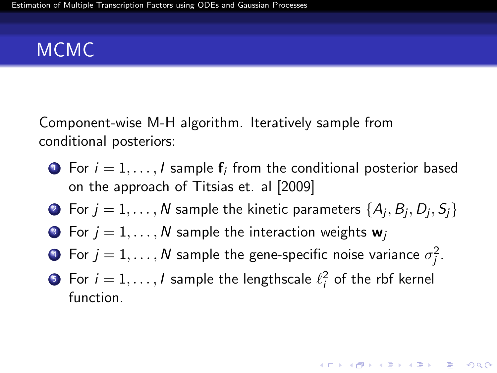## MCMC

Component-wise M-H algorithm. Iteratively sample from conditional posteriors:

- $\bullet\,$  For  $i=1,\ldots,$  I sample  ${\sf f}_i$  from the conditional posterior based on the approach of Titsias et. al [2009]
- $\bullet\,$  For  $j=1,\ldots,N$  sample the kinetic parameters  $\{A_j,B_j,D_j,S_j\}$
- **3** For  $j = 1, ..., N$  sample the interaction weights  $w_j$
- $\bullet\,$  For  $j=1,\ldots,N$  sample the gene-specific noise variance  $\sigma_j^2.$
- ${\bf 5}$  For  $i=1,\ldots, l$  sample the lengthscale  $\ell_i^2$  of the rbf kernel function.

**ADD YEARS ARA YOUR**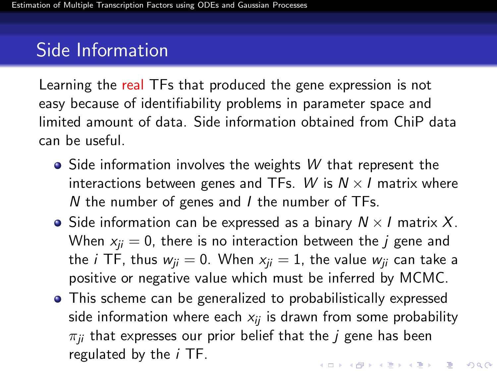## Side Information

Learning the real TFs that produced the gene expression is not easy because of identifiability problems in parameter space and limited amount of data. Side information obtained from ChiP data can be useful.

- $\bullet$  Side information involves the weights W that represent the interactions between genes and TFs. W is  $N \times I$  matrix where N the number of genes and I the number of TFs.
- Side information can be expressed as a binary  $N \times I$  matrix X. When  $x_{ii} = 0$ , there is no interaction between the j gene and the *i* TF, thus  $w_{ii} = 0$ . When  $x_{ii} = 1$ , the value  $w_{ii}$  can take a positive or negative value which must be inferred by MCMC.
- This scheme can be generalized to probabilistically expressed side information where each  $x_{ij}$  is drawn from some probability  $\pi_{ii}$  that expresses our prior belief that the *j* gene has been regulated by the  $i$  TF.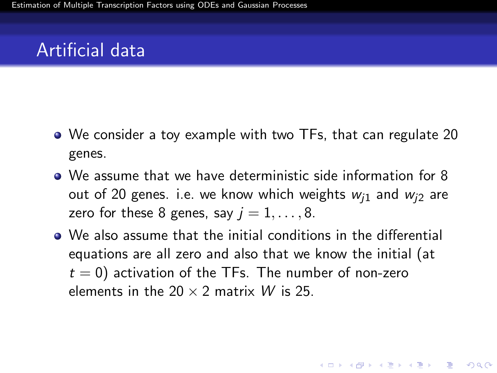- We consider a toy example with two TFs, that can regulate 20 genes.
- We assume that we have deterministic side information for 8 out of 20 genes. i.e. we know which weights  $w_{i1}$  and  $w_{i2}$  are zero for these 8 genes, say  $i = 1, \ldots, 8$ .
- <span id="page-10-0"></span>We also assume that the initial conditions in the differential equations are all zero and also that we know the initial (at  $t = 0$ ) activation of the TFs. The number of non-zero elements in the  $20 \times 2$  matrix W is 25.

**ADD YEARS ARA YOUR**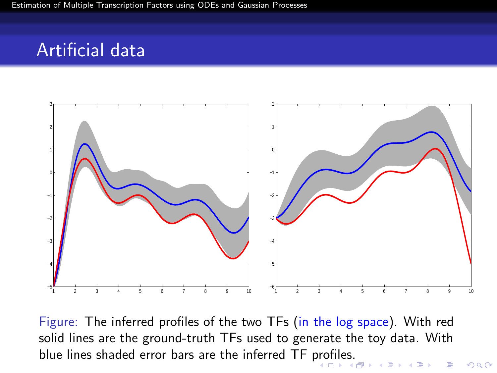

<span id="page-11-0"></span>Figure: The inferred profiles of the two TFs (in the log space). With red solid lines are the ground-truth TFs used to generate the toy data. With blue lines shaded error bars are the inferred TF [pro](#page-10-0)[file](#page-12-0)[s](#page-10-0)[.](#page-11-0)

 $299$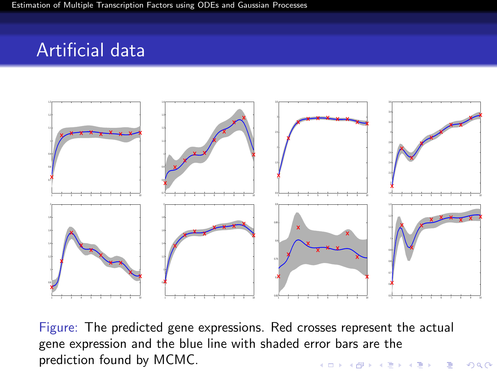

<span id="page-12-0"></span>Figure: The predicted gene expressions. Red crosses represent the actual gene expression and the blue line with shaded error bars are the prediction found by MCMC.K ロ ▶ K @ ▶ K 할 > K 할 > 1 할 > 1 이익어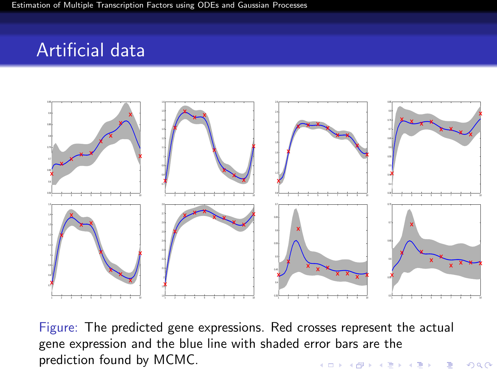

Figure: The predicted gene expressions. Red crosses represent the actual gene expression and the blue line with shaded error bars are the prediction found by MCMC.K ロ ▶ K @ ▶ K 할 > K 할 > 1 할 > 1 이익어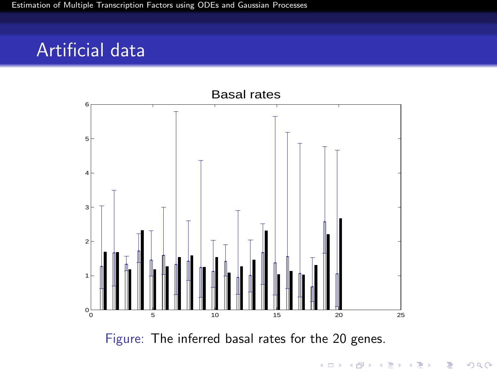

Figure: The inferred basal rates for the 20 genes.

イロメ イ部メ イ君メ イ君メ È  $299$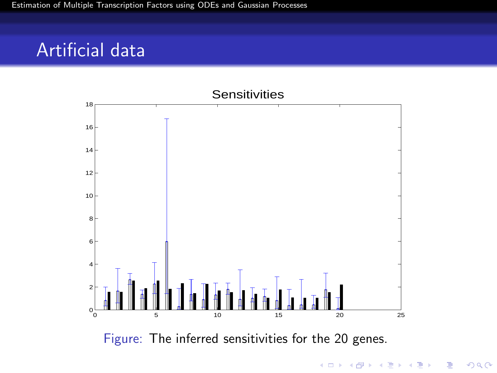

イロン イ部ン イ君ン イ君ン 重  $-990$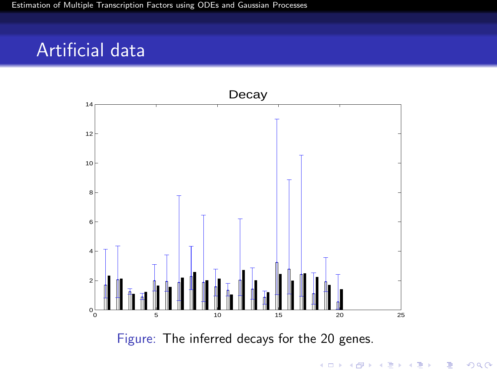

イロメ イ部メ イ君メ イ君メ 目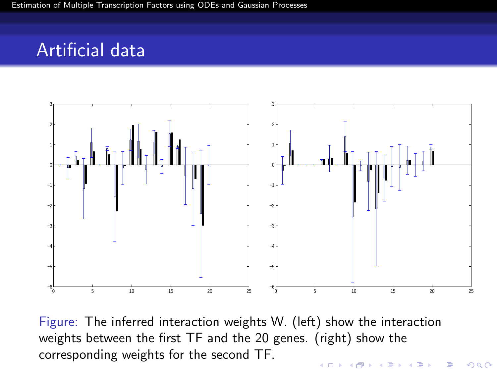

Figure: The inferred interaction weights W. (left) show the interaction weights between the first TF and the 20 genes. (right) show the corresponding weights for the second TF.**ADD YEARS ARA YOUR**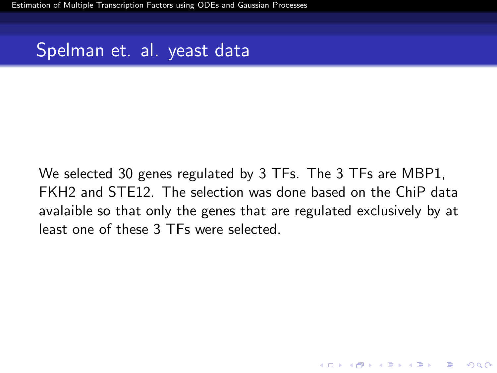## Spelman et. al. yeast data

We selected 30 genes regulated by 3 TFs. The 3 TFs are MBP1, FKH2 and STE12. The selection was done based on the ChiP data avalaible so that only the genes that are regulated exclusively by at least one of these 3 TFs were selected.

**ADD YEARS ARA YOUR**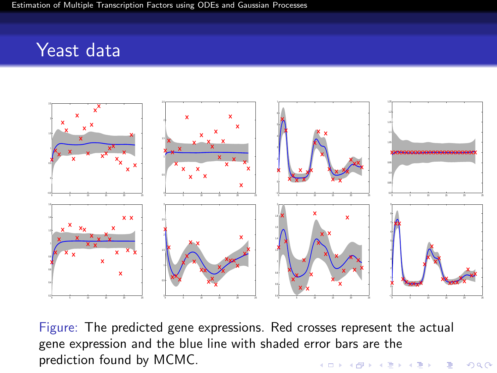#### Yeast data



Figure: The predicted gene expressions. Red crosses represent the actual gene expression and the blue line with shaded error bars are the prediction found by MCMC.K ロ ▶ K @ ▶ K 할 > K 할 > 1 할 > 1 이익어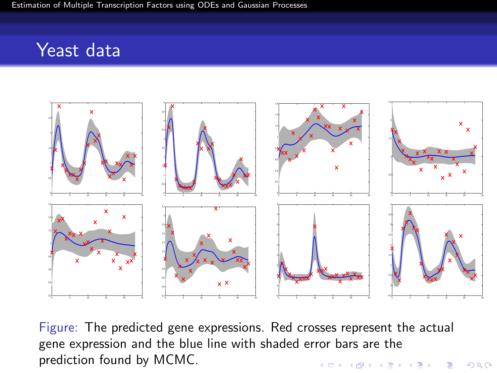#### Yeast data



Figure: The predicted gene expressions. Red crosses represent the actual gene expression and the blue line with shaded error bars are the prediction found by MCMC.**K ロ ▶ K @ ▶ K 할 X K 할 X - 할 X - 9 Q Q ^**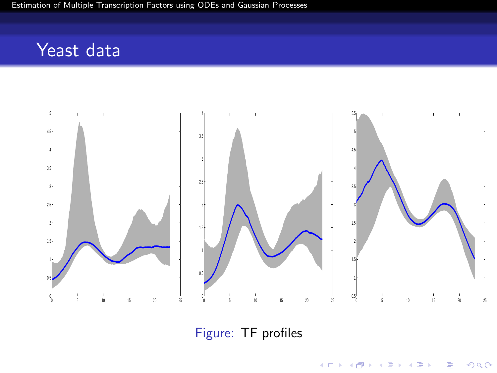## Yeast data



Figure: TF profiles

K ロ ▶ K @ ▶ K 할 ▶ K 할 ▶ ... 할 ... 900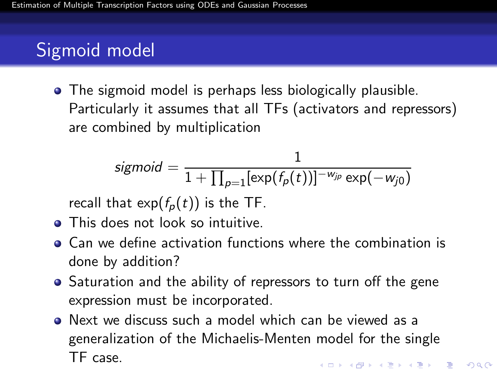## Sigmoid model

• The sigmoid model is perhaps less biologically plausible. Particularly it assumes that all TFs (activators and repressors) are combined by multiplication

$$
sigmoid = \frac{1}{1 + \prod_{p=1}^{\infty} [\exp(f_p(t))]^{-w_{jp}} \exp(-w_{j0})}
$$

recall that  $\exp(f_p(t))$  is the TF.

- This does not look so intuitive.
- Can we define activation functions where the combination is done by addition?
- Saturation and the ability of repressors to turn off the gene expression must be incorporated.
- Next we discuss such a model which can be viewed as a generalization of the Michaelis-Menten model for the single TF case.**ADD YEARS ARA YOUR**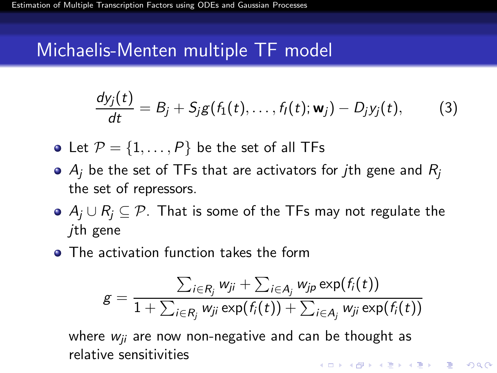#### Michaelis-Menten multiple TF model

$$
\frac{dy_j(t)}{dt} = B_j + S_j g(f_1(t), \ldots, f_l(t); \mathbf{w}_j) - D_j y_j(t), \qquad (3)
$$

- Let  $P = \{1, \ldots, P\}$  be the set of all TFs
- $\bullet$  A<sub>i</sub> be the set of TFs that are activators for *j*th gene and  $R_i$ the set of repressors.
- $\bullet$  A<sub>i</sub> ∪ R<sub>i</sub>  $\subseteq$  P. That is some of the TFs may not regulate the jth gene
- **The activation function takes the form**

$$
g = \frac{\sum_{i \in R_j} w_{ji} + \sum_{i \in A_j} w_{jp} \exp(f_i(t))}{1 + \sum_{i \in R_j} w_{ji} \exp(f_i(t)) + \sum_{i \in A_j} w_{ji} \exp(f_i(t))}
$$

where  $w_{ii}$  are now non-negative and can be thought as relative sensitivities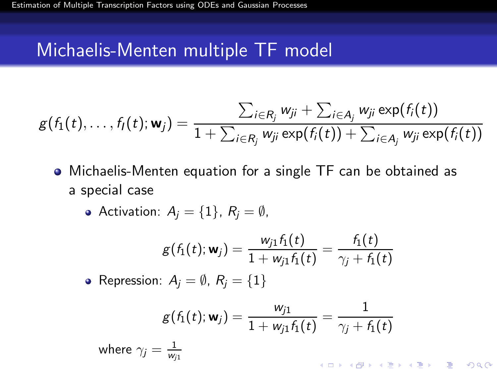## Michaelis-Menten multiple TF model

$$
g(f_1(t),\ldots,f_l(t);{\mathbf w}_j)=\frac{\sum_{i\in R_j}w_{ji}+\sum_{i\in A_j}w_{ji}\exp(f_i(t))}{1+\sum_{i\in R_j}w_{ji}\exp(f_i(t))+\sum_{i\in A_j}w_{ji}\exp(f_i(t))}
$$

Michaelis-Menten equation for a single TF can be obtained as a special case

• Activation: 
$$
A_j = \{1\}, R_j = \emptyset
$$
,

$$
g(f_1(t); \mathbf{w}_j) = \frac{w_{j1}f_1(t)}{1 + w_{j1}f_1(t)} = \frac{f_1(t)}{\gamma_j + f_1(t)}
$$
\n• Representation:  $A_j = \emptyset$ ,  $R_j = \{1\}$ 

$$
g(f_1(t); \mathbf{w}_j) = \frac{w_{j1}}{1 + w_{j1}f_1(t)} = \frac{1}{\gamma_j + f_1(t)}
$$
  
where  $\gamma_j = \frac{1}{w_{j1}}$ 

 $2990$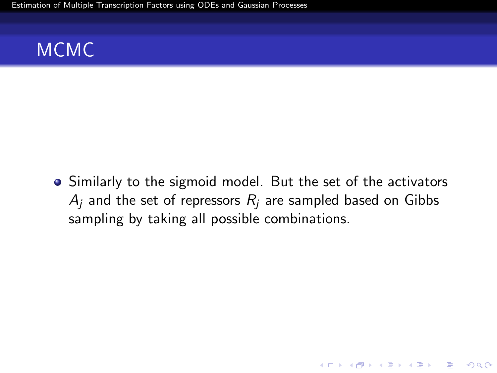[Estimation of Multiple Transcription Factors using ODEs and Gaussian Processes](#page-0-0)

## MCMC

Similarly to the sigmoid model. But the set of the activators  $A_i$  and the set of repressors  $R_i$  are sampled based on Gibbs sampling by taking all possible combinations.

K ロ ▶ K @ ▶ K 할 > K 할 > 1 할 > 1 이익어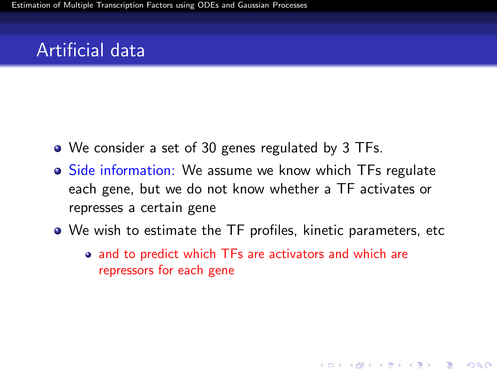- We consider a set of 30 genes regulated by 3 TFs.
- Side information: We assume we know which TFs regulate each gene, but we do not know whether a TF activates or represses a certain gene
- We wish to estimate the TF profiles, kinetic parameters, etc
	- and to predict which TFs are activators and which are repressors for each gene

**ADD YEARS ARA YOUR**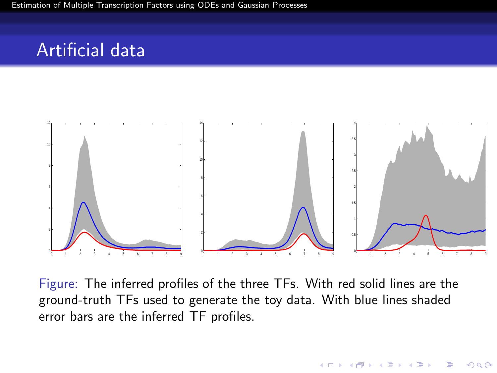

Figure: The inferred profiles of the three TFs. With red solid lines are the ground-truth TFs used to generate the toy data. With blue lines shaded error bars are the inferred TF profiles.

**ADD YEARS ARA YOUR**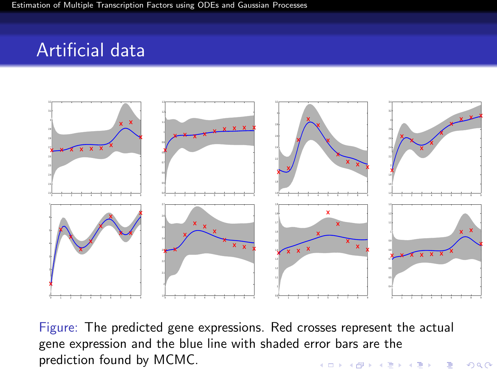

Figure: The predicted gene expressions. Red crosses represent the actual gene expression and the blue line with shaded error bars are the prediction found by MCMC.**K ロ ▶ K @ ▶ K 할 X K 할 X - 할 X - 9 Q Q ^**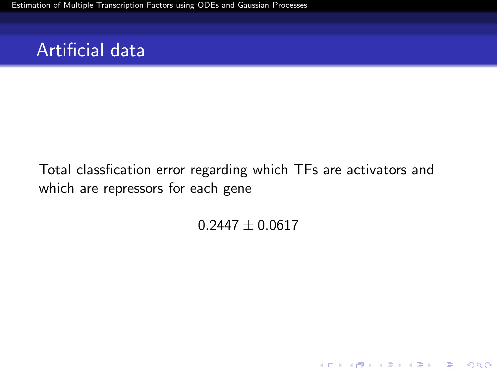[Estimation of Multiple Transcription Factors using ODEs and Gaussian Processes](#page-0-0)

#### Artificial data

Total classfication error regarding which TFs are activators and which are repressors for each gene

 $0.2447 \pm 0.0617$ 

K ロ ▶ K @ ▶ K 할 > K 할 > 1 할 > 1 이익어